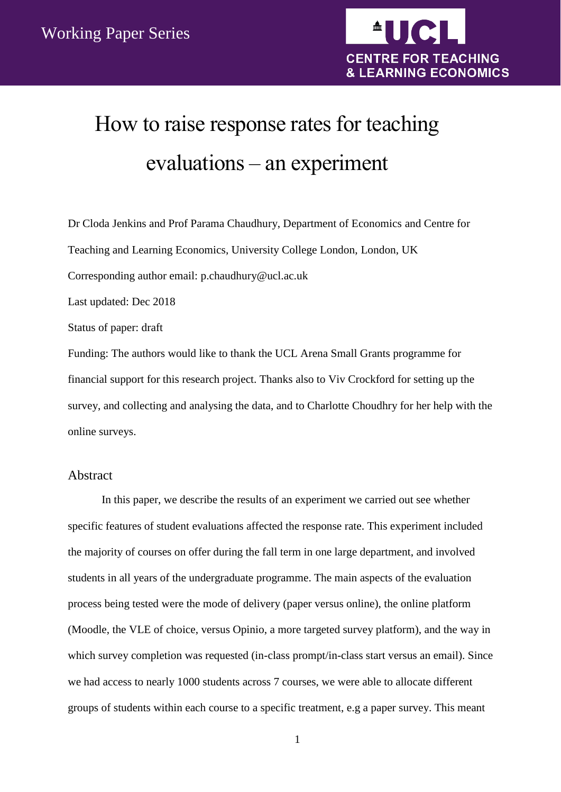

# How to raise response rates for teaching evaluations – an experiment

Dr Cloda Jenkins and Prof Parama Chaudhury, Department of Economics and Centre for Teaching and Learning Economics, University College London, London, UK

Corresponding author email: p.chaudhury@ucl.ac.uk

Last updated: Dec 2018

Status of paper: draft

Funding: The authors would like to thank the UCL Arena Small Grants programme for financial support for this research project. Thanks also to Viv Crockford for setting up the survey, and collecting and analysing the data, and to Charlotte Choudhry for her help with the online surveys.

# <span id="page-0-0"></span>Abstract

In this paper, we describe the results of an experiment we carried out see whether specific features of student evaluations affected the response rate. This experiment included the majority of courses on offer during the fall term in one large department, and involved students in all years of the undergraduate programme. The main aspects of the evaluation process being tested were the mode of delivery (paper versus online), the online platform (Moodle, the VLE of choice, versus Opinio, a more targeted survey platform), and the way in which survey completion was requested (in-class prompt/in-class start versus an email). Since we had access to nearly 1000 students across 7 courses, we were able to allocate different groups of students within each course to a specific treatment, e.g a paper survey. This meant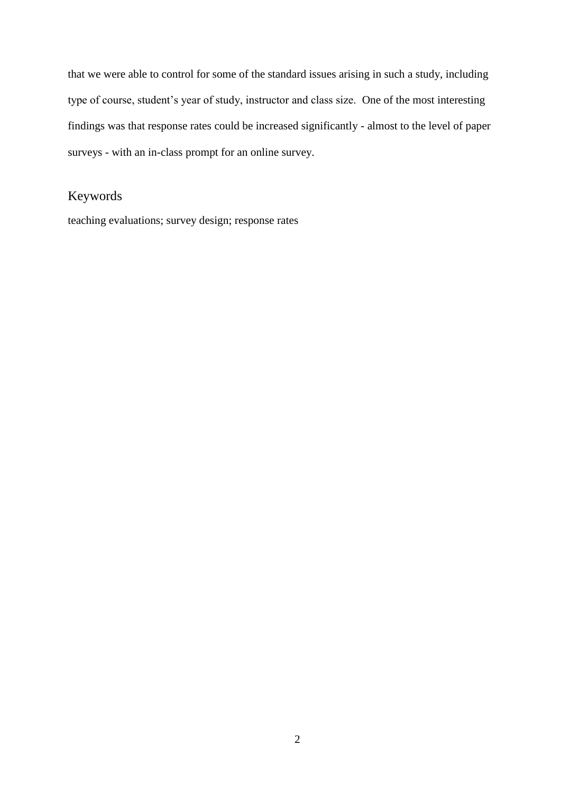that we were able to control for some of the standard issues arising in such a study, including type of course, student's year of study, instructor and class size. One of the most interesting findings was that response rates could be increased significantly - almost to the level of paper surveys - with an in-class prompt for an online survey.

# <span id="page-1-0"></span>Keywords

teaching evaluations; survey design; response rates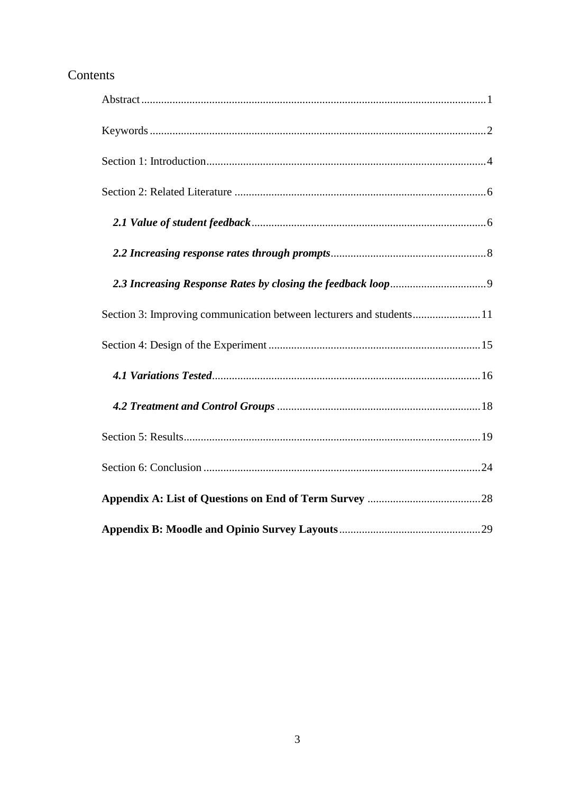# Contents

| Section 3: Improving communication between lecturers and students11 |  |
|---------------------------------------------------------------------|--|
|                                                                     |  |
|                                                                     |  |
|                                                                     |  |
|                                                                     |  |
|                                                                     |  |
|                                                                     |  |
|                                                                     |  |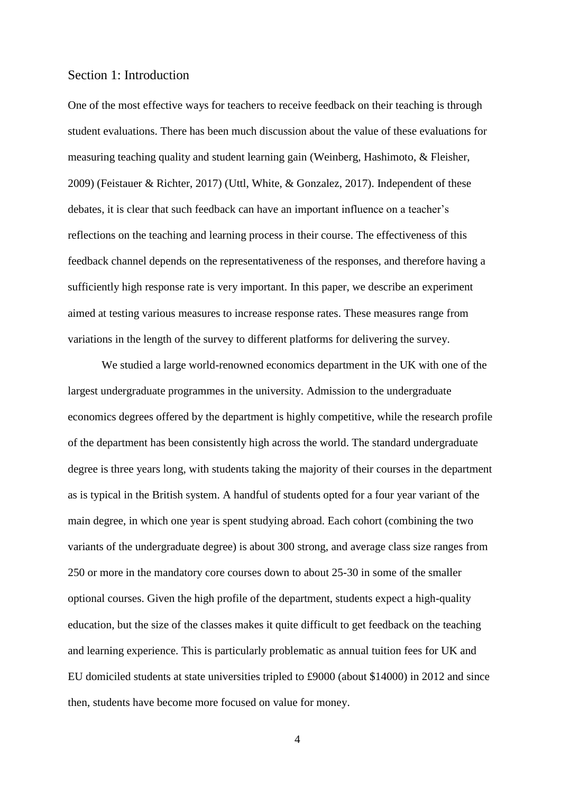### <span id="page-3-0"></span>Section 1: Introduction

One of the most effective ways for teachers to receive feedback on their teaching is through student evaluations. There has been much discussion about the value of these evaluations for measuring teaching quality and student learning gain (Weinberg, Hashimoto, & Fleisher, 2009) (Feistauer & Richter, 2017) (Uttl, White, & Gonzalez, 2017). Independent of these debates, it is clear that such feedback can have an important influence on a teacher's reflections on the teaching and learning process in their course. The effectiveness of this feedback channel depends on the representativeness of the responses, and therefore having a sufficiently high response rate is very important. In this paper, we describe an experiment aimed at testing various measures to increase response rates. These measures range from variations in the length of the survey to different platforms for delivering the survey.

We studied a large world-renowned economics department in the UK with one of the largest undergraduate programmes in the university. Admission to the undergraduate economics degrees offered by the department is highly competitive, while the research profile of the department has been consistently high across the world. The standard undergraduate degree is three years long, with students taking the majority of their courses in the department as is typical in the British system. A handful of students opted for a four year variant of the main degree, in which one year is spent studying abroad. Each cohort (combining the two variants of the undergraduate degree) is about 300 strong, and average class size ranges from 250 or more in the mandatory core courses down to about 25-30 in some of the smaller optional courses. Given the high profile of the department, students expect a high-quality education, but the size of the classes makes it quite difficult to get feedback on the teaching and learning experience. This is particularly problematic as annual tuition fees for UK and EU domiciled students at state universities tripled to £9000 (about \$14000) in 2012 and since then, students have become more focused on value for money.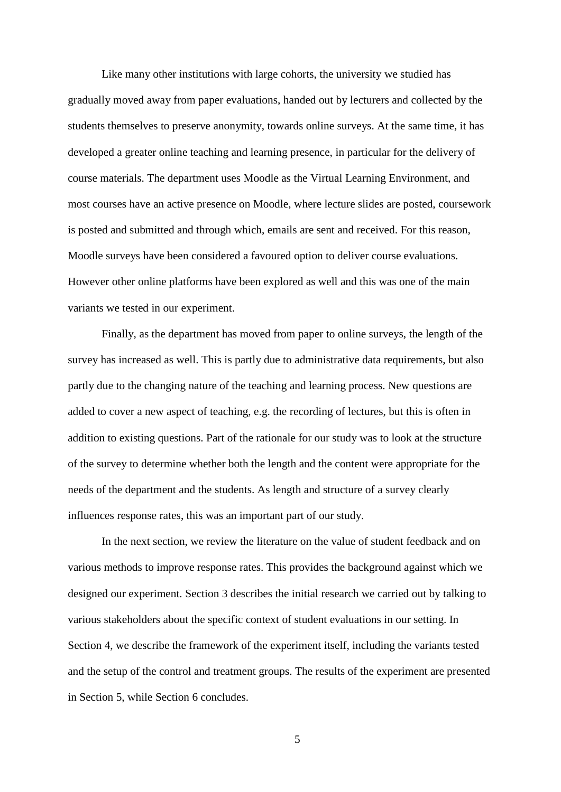Like many other institutions with large cohorts, the university we studied has gradually moved away from paper evaluations, handed out by lecturers and collected by the students themselves to preserve anonymity, towards online surveys. At the same time, it has developed a greater online teaching and learning presence, in particular for the delivery of course materials. The department uses Moodle as the Virtual Learning Environment, and most courses have an active presence on Moodle, where lecture slides are posted, coursework is posted and submitted and through which, emails are sent and received. For this reason, Moodle surveys have been considered a favoured option to deliver course evaluations. However other online platforms have been explored as well and this was one of the main variants we tested in our experiment.

Finally, as the department has moved from paper to online surveys, the length of the survey has increased as well. This is partly due to administrative data requirements, but also partly due to the changing nature of the teaching and learning process. New questions are added to cover a new aspect of teaching, e.g. the recording of lectures, but this is often in addition to existing questions. Part of the rationale for our study was to look at the structure of the survey to determine whether both the length and the content were appropriate for the needs of the department and the students. As length and structure of a survey clearly influences response rates, this was an important part of our study.

In the next section, we review the literature on the value of student feedback and on various methods to improve response rates. This provides the background against which we designed our experiment. Section 3 describes the initial research we carried out by talking to various stakeholders about the specific context of student evaluations in our setting. In Section 4, we describe the framework of the experiment itself, including the variants tested and the setup of the control and treatment groups. The results of the experiment are presented in Section 5, while Section 6 concludes.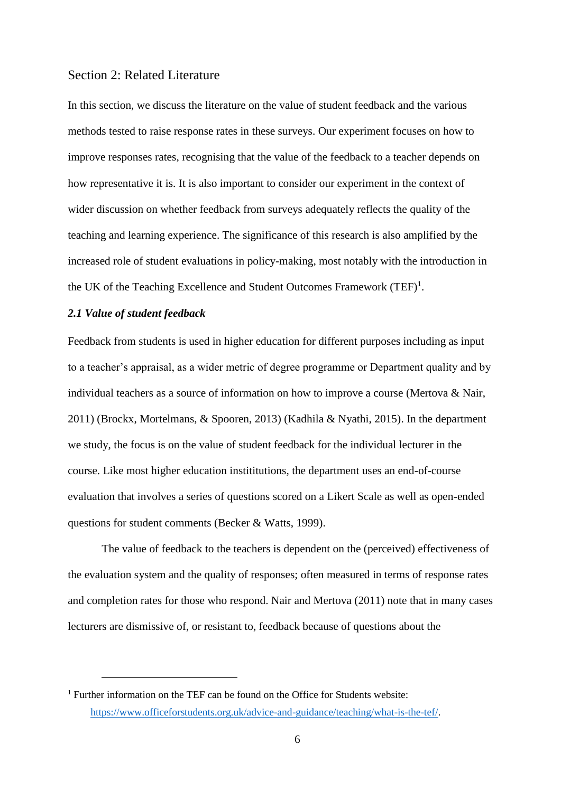# <span id="page-5-0"></span>Section 2: Related Literature

In this section, we discuss the literature on the value of student feedback and the various methods tested to raise response rates in these surveys. Our experiment focuses on how to improve responses rates, recognising that the value of the feedback to a teacher depends on how representative it is. It is also important to consider our experiment in the context of wider discussion on whether feedback from surveys adequately reflects the quality of the teaching and learning experience. The significance of this research is also amplified by the increased role of student evaluations in policy-making, most notably with the introduction in the UK of the Teaching Excellence and Student Outcomes Framework  $(TEF)^1$ .

#### <span id="page-5-1"></span>*2.1 Value of student feedback*

<u>.</u>

Feedback from students is used in higher education for different purposes including as input to a teacher's appraisal, as a wider metric of degree programme or Department quality and by individual teachers as a source of information on how to improve a course (Mertova & Nair, 2011) (Brockx, Mortelmans, & Spooren, 2013) (Kadhila & Nyathi, 2015). In the department we study, the focus is on the value of student feedback for the individual lecturer in the course. Like most higher education instititutions, the department uses an end-of-course evaluation that involves a series of questions scored on a Likert Scale as well as open-ended questions for student comments (Becker & Watts, 1999).

The value of feedback to the teachers is dependent on the (perceived) effectiveness of the evaluation system and the quality of responses; often measured in terms of response rates and completion rates for those who respond. Nair and Mertova (2011) note that in many cases lecturers are dismissive of, or resistant to, feedback because of questions about the

<sup>&</sup>lt;sup>1</sup> Further information on the TEF can be found on the Office for Students website: [https://www.officeforstudents.org.uk/advice-and-guidance/teaching/what-is-the-tef/.](https://www.officeforstudents.org.uk/advice-and-guidance/teaching/what-is-the-tef/)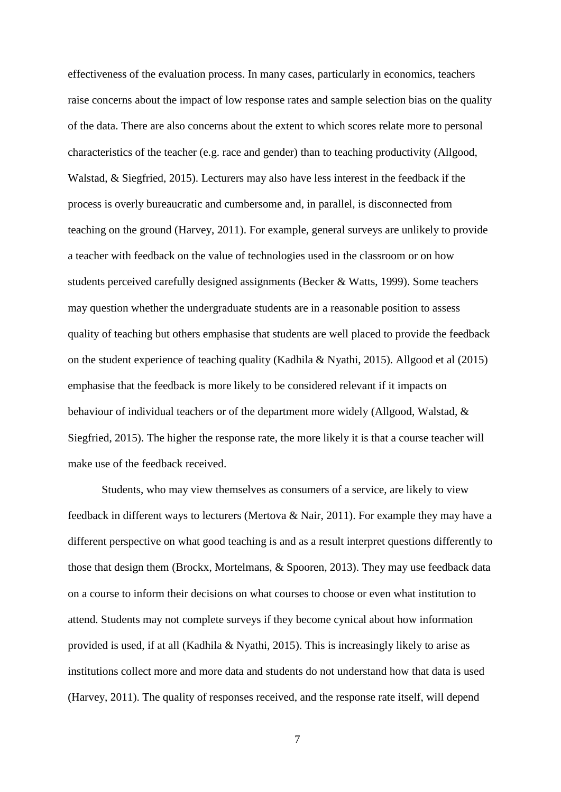effectiveness of the evaluation process. In many cases, particularly in economics, teachers raise concerns about the impact of low response rates and sample selection bias on the quality of the data. There are also concerns about the extent to which scores relate more to personal characteristics of the teacher (e.g. race and gender) than to teaching productivity (Allgood, Walstad, & Siegfried, 2015). Lecturers may also have less interest in the feedback if the process is overly bureaucratic and cumbersome and, in parallel, is disconnected from teaching on the ground (Harvey, 2011). For example, general surveys are unlikely to provide a teacher with feedback on the value of technologies used in the classroom or on how students perceived carefully designed assignments (Becker & Watts, 1999). Some teachers may question whether the undergraduate students are in a reasonable position to assess quality of teaching but others emphasise that students are well placed to provide the feedback on the student experience of teaching quality (Kadhila & Nyathi, 2015). Allgood et al (2015) emphasise that the feedback is more likely to be considered relevant if it impacts on behaviour of individual teachers or of the department more widely (Allgood, Walstad, & Siegfried, 2015). The higher the response rate, the more likely it is that a course teacher will make use of the feedback received.

Students, who may view themselves as consumers of a service, are likely to view feedback in different ways to lecturers (Mertova & Nair, 2011). For example they may have a different perspective on what good teaching is and as a result interpret questions differently to those that design them (Brockx, Mortelmans, & Spooren, 2013). They may use feedback data on a course to inform their decisions on what courses to choose or even what institution to attend. Students may not complete surveys if they become cynical about how information provided is used, if at all (Kadhila & Nyathi, 2015). This is increasingly likely to arise as institutions collect more and more data and students do not understand how that data is used (Harvey, 2011). The quality of responses received, and the response rate itself, will depend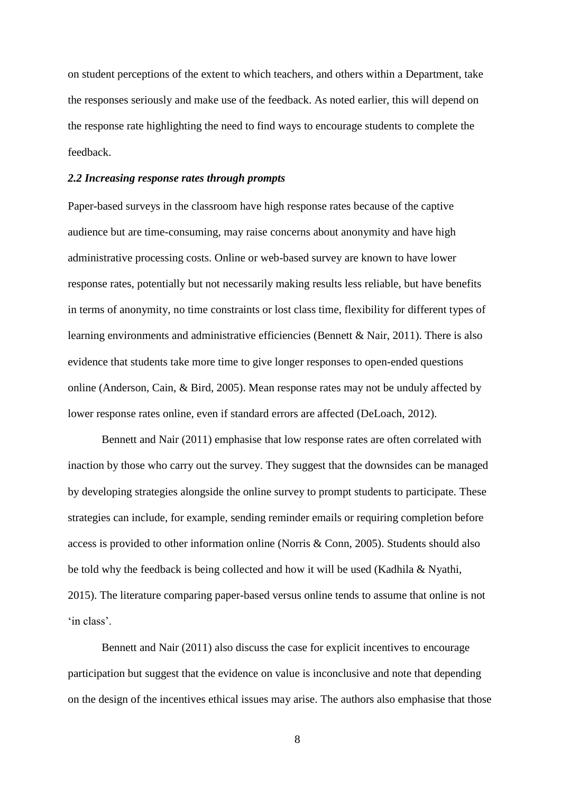on student perceptions of the extent to which teachers, and others within a Department, take the responses seriously and make use of the feedback. As noted earlier, this will depend on the response rate highlighting the need to find ways to encourage students to complete the feedback.

#### <span id="page-7-0"></span>*2.2 Increasing response rates through prompts*

Paper-based surveys in the classroom have high response rates because of the captive audience but are time-consuming, may raise concerns about anonymity and have high administrative processing costs. Online or web-based survey are known to have lower response rates, potentially but not necessarily making results less reliable, but have benefits in terms of anonymity, no time constraints or lost class time, flexibility for different types of learning environments and administrative efficiencies (Bennett & Nair, 2011). There is also evidence that students take more time to give longer responses to open-ended questions online (Anderson, Cain, & Bird, 2005). Mean response rates may not be unduly affected by lower response rates online, even if standard errors are affected (DeLoach, 2012).

Bennett and Nair (2011) emphasise that low response rates are often correlated with inaction by those who carry out the survey. They suggest that the downsides can be managed by developing strategies alongside the online survey to prompt students to participate. These strategies can include, for example, sending reminder emails or requiring completion before access is provided to other information online (Norris & Conn, 2005). Students should also be told why the feedback is being collected and how it will be used (Kadhila & Nyathi, 2015). The literature comparing paper-based versus online tends to assume that online is not 'in class'.

Bennett and Nair (2011) also discuss the case for explicit incentives to encourage participation but suggest that the evidence on value is inconclusive and note that depending on the design of the incentives ethical issues may arise. The authors also emphasise that those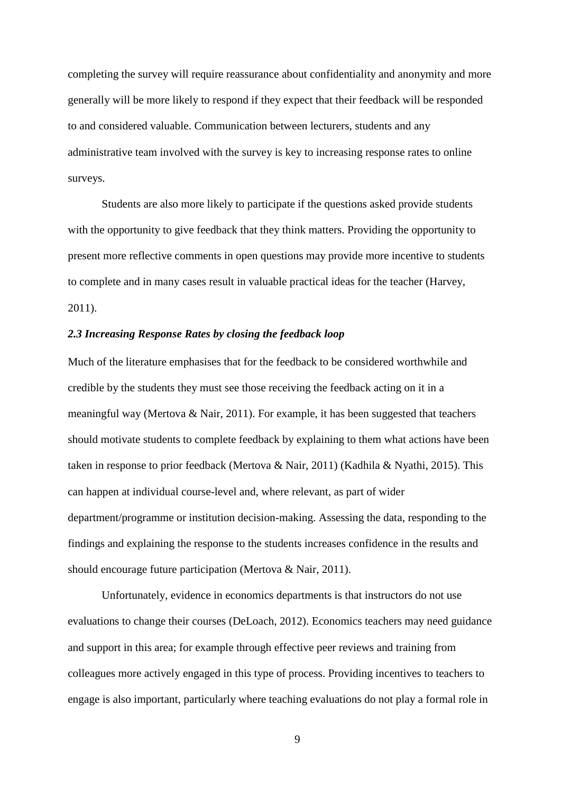completing the survey will require reassurance about confidentiality and anonymity and more generally will be more likely to respond if they expect that their feedback will be responded to and considered valuable. Communication between lecturers, students and any administrative team involved with the survey is key to increasing response rates to online surveys.

Students are also more likely to participate if the questions asked provide students with the opportunity to give feedback that they think matters. Providing the opportunity to present more reflective comments in open questions may provide more incentive to students to complete and in many cases result in valuable practical ideas for the teacher (Harvey, 2011).

# <span id="page-8-0"></span>*2.3 Increasing Response Rates by closing the feedback loop*

Much of the literature emphasises that for the feedback to be considered worthwhile and credible by the students they must see those receiving the feedback acting on it in a meaningful way (Mertova  $\&$  Nair, 2011). For example, it has been suggested that teachers should motivate students to complete feedback by explaining to them what actions have been taken in response to prior feedback (Mertova & Nair, 2011) (Kadhila & Nyathi, 2015). This can happen at individual course-level and, where relevant, as part of wider department/programme or institution decision-making. Assessing the data, responding to the findings and explaining the response to the students increases confidence in the results and should encourage future participation (Mertova & Nair, 2011).

Unfortunately, evidence in economics departments is that instructors do not use evaluations to change their courses (DeLoach, 2012). Economics teachers may need guidance and support in this area; for example through effective peer reviews and training from colleagues more actively engaged in this type of process. Providing incentives to teachers to engage is also important, particularly where teaching evaluations do not play a formal role in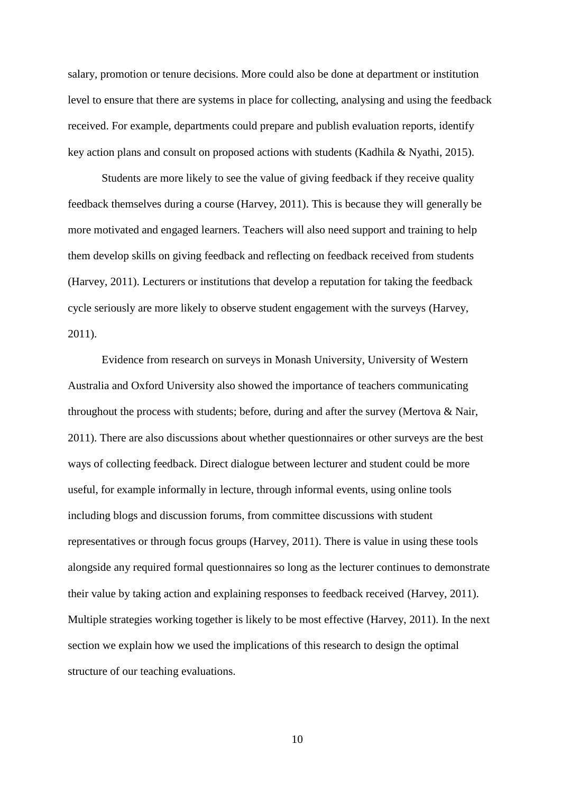salary, promotion or tenure decisions. More could also be done at department or institution level to ensure that there are systems in place for collecting, analysing and using the feedback received. For example, departments could prepare and publish evaluation reports, identify key action plans and consult on proposed actions with students (Kadhila & Nyathi, 2015).

Students are more likely to see the value of giving feedback if they receive quality feedback themselves during a course (Harvey, 2011). This is because they will generally be more motivated and engaged learners. Teachers will also need support and training to help them develop skills on giving feedback and reflecting on feedback received from students (Harvey, 2011). Lecturers or institutions that develop a reputation for taking the feedback cycle seriously are more likely to observe student engagement with the surveys (Harvey, 2011).

Evidence from research on surveys in Monash University, University of Western Australia and Oxford University also showed the importance of teachers communicating throughout the process with students; before, during and after the survey (Mertova  $\&$  Nair, 2011). There are also discussions about whether questionnaires or other surveys are the best ways of collecting feedback. Direct dialogue between lecturer and student could be more useful, for example informally in lecture, through informal events, using online tools including blogs and discussion forums, from committee discussions with student representatives or through focus groups (Harvey, 2011). There is value in using these tools alongside any required formal questionnaires so long as the lecturer continues to demonstrate their value by taking action and explaining responses to feedback received (Harvey, 2011). Multiple strategies working together is likely to be most effective (Harvey, 2011). In the next section we explain how we used the implications of this research to design the optimal structure of our teaching evaluations.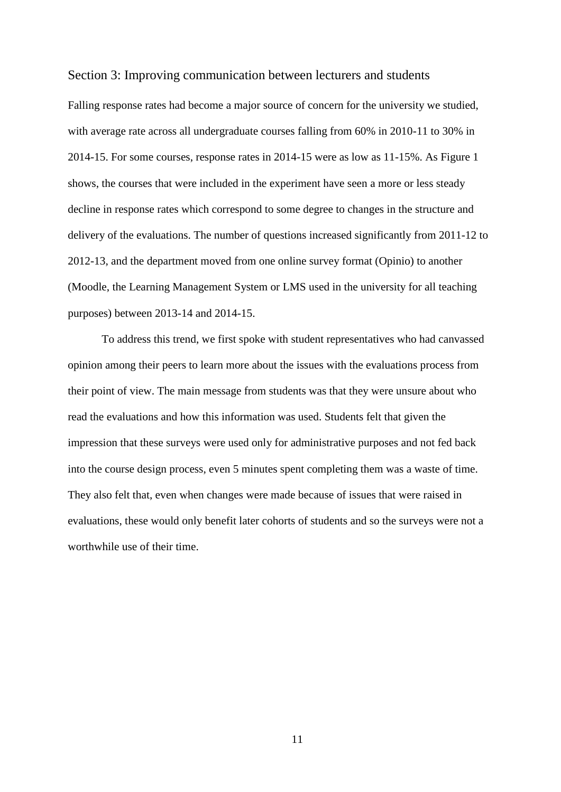#### <span id="page-10-0"></span>Section 3: Improving communication between lecturers and students

Falling response rates had become a major source of concern for the university we studied, with average rate across all undergraduate courses falling from 60% in 2010-11 to 30% in 2014-15. For some courses, response rates in 2014-15 were as low as 11-15%. As Figure 1 shows, the courses that were included in the experiment have seen a more or less steady decline in response rates which correspond to some degree to changes in the structure and delivery of the evaluations. The number of questions increased significantly from 2011-12 to 2012-13, and the department moved from one online survey format (Opinio) to another (Moodle, the Learning Management System or LMS used in the university for all teaching purposes) between 2013-14 and 2014-15.

To address this trend, we first spoke with student representatives who had canvassed opinion among their peers to learn more about the issues with the evaluations process from their point of view. The main message from students was that they were unsure about who read the evaluations and how this information was used. Students felt that given the impression that these surveys were used only for administrative purposes and not fed back into the course design process, even 5 minutes spent completing them was a waste of time. They also felt that, even when changes were made because of issues that were raised in evaluations, these would only benefit later cohorts of students and so the surveys were not a worthwhile use of their time.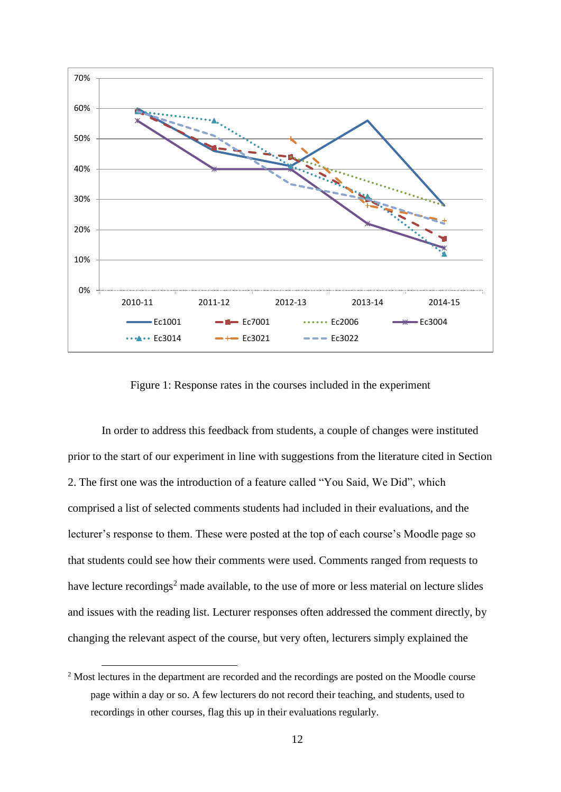

Figure 1: Response rates in the courses included in the experiment

In order to address this feedback from students, a couple of changes were instituted prior to the start of our experiment in line with suggestions from the literature cited in Section 2. The first one was the introduction of a feature called "You Said, We Did", which comprised a list of selected comments students had included in their evaluations, and the lecturer's response to them. These were posted at the top of each course's Moodle page so that students could see how their comments were used. Comments ranged from requests to have lecture recordings<sup>2</sup> made available, to the use of more or less material on lecture slides and issues with the reading list. Lecturer responses often addressed the comment directly, by changing the relevant aspect of the course, but very often, lecturers simply explained the

<sup>&</sup>lt;sup>2</sup> Most lectures in the department are recorded and the recordings are posted on the Moodle course page within a day or so. A few lecturers do not record their teaching, and students, used to recordings in other courses, flag this up in their evaluations regularly.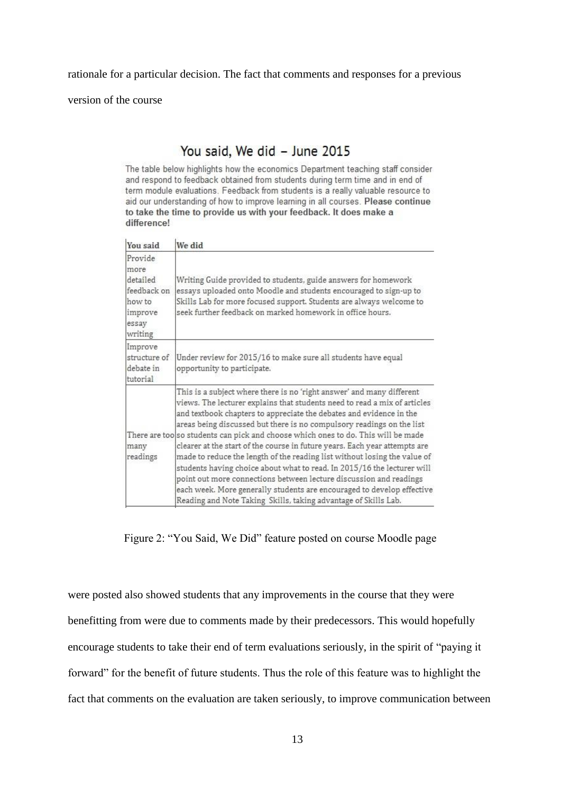rationale for a particular decision. The fact that comments and responses for a previous

version of the course

# You said, We did - June 2015

The table below highlights how the economics Department teaching staff consider and respond to feedback obtained from students during term time and in end of term module evaluations. Feedback from students is a really valuable resource to aid our understanding of how to improve learning in all courses. Please continue to take the time to provide us with your feedback. It does make a difference!

| You said                                                                            | We did                                                                                                                                                                                                                                                                                                                                                                                                                                                                                                                                                                                                                                                                                                                                                                                                                                            |
|-------------------------------------------------------------------------------------|---------------------------------------------------------------------------------------------------------------------------------------------------------------------------------------------------------------------------------------------------------------------------------------------------------------------------------------------------------------------------------------------------------------------------------------------------------------------------------------------------------------------------------------------------------------------------------------------------------------------------------------------------------------------------------------------------------------------------------------------------------------------------------------------------------------------------------------------------|
| Provide<br>more<br>detailed<br>feedback on<br>how to<br>improve<br>essay<br>writing | Writing Guide provided to students, guide answers for homework<br>essays uploaded onto Moodle and students encouraged to sign-up to<br>Skills Lab for more focused support. Students are always welcome to<br>seek further feedback on marked homework in office hours.                                                                                                                                                                                                                                                                                                                                                                                                                                                                                                                                                                           |
| Improve<br>structure of<br>debate in<br>tutorial                                    | Under review for 2015/16 to make sure all students have equal<br>opportunity to participate.                                                                                                                                                                                                                                                                                                                                                                                                                                                                                                                                                                                                                                                                                                                                                      |
| many<br>readings                                                                    | This is a subject where there is no 'right answer' and many different<br>views. The lecturer explains that students need to read a mix of articles<br>and textbook chapters to appreciate the debates and evidence in the<br>areas being discussed but there is no compulsory readings on the list<br>There are too s o students can pick and choose which ones to do. This will be made<br>clearer at the start of the course in future years. Each year attempts are<br>made to reduce the length of the reading list without losing the value of<br>students having choice about what to read. In 2015/16 the lecturer will<br>point out more connections between lecture discussion and readings<br>each week. More generally students are encouraged to develop effective<br>Reading and Note Taking Skills, taking advantage of Skills Lab. |

Figure 2: "You Said, We Did" feature posted on course Moodle page

were posted also showed students that any improvements in the course that they were benefitting from were due to comments made by their predecessors. This would hopefully encourage students to take their end of term evaluations seriously, in the spirit of "paying it forward" for the benefit of future students. Thus the role of this feature was to highlight the fact that comments on the evaluation are taken seriously, to improve communication between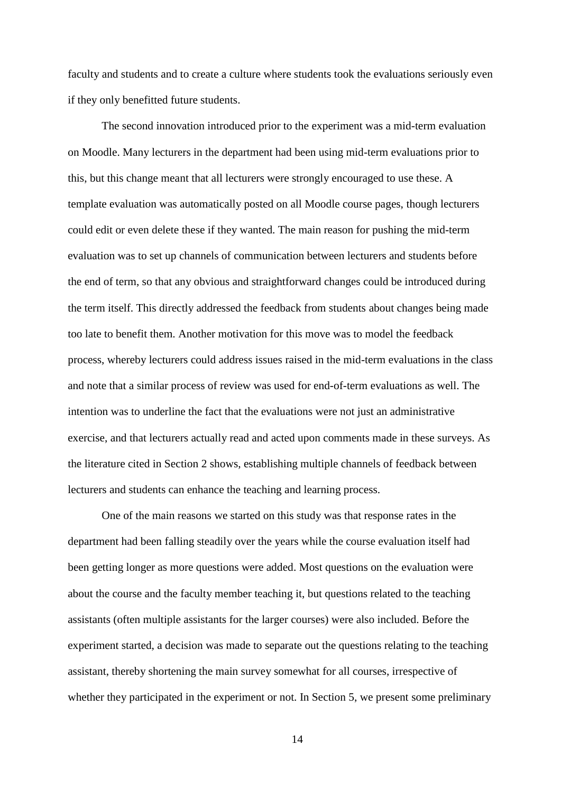faculty and students and to create a culture where students took the evaluations seriously even if they only benefitted future students.

The second innovation introduced prior to the experiment was a mid-term evaluation on Moodle. Many lecturers in the department had been using mid-term evaluations prior to this, but this change meant that all lecturers were strongly encouraged to use these. A template evaluation was automatically posted on all Moodle course pages, though lecturers could edit or even delete these if they wanted. The main reason for pushing the mid-term evaluation was to set up channels of communication between lecturers and students before the end of term, so that any obvious and straightforward changes could be introduced during the term itself. This directly addressed the feedback from students about changes being made too late to benefit them. Another motivation for this move was to model the feedback process, whereby lecturers could address issues raised in the mid-term evaluations in the class and note that a similar process of review was used for end-of-term evaluations as well. The intention was to underline the fact that the evaluations were not just an administrative exercise, and that lecturers actually read and acted upon comments made in these surveys. As the literature cited in Section 2 shows, establishing multiple channels of feedback between lecturers and students can enhance the teaching and learning process.

One of the main reasons we started on this study was that response rates in the department had been falling steadily over the years while the course evaluation itself had been getting longer as more questions were added. Most questions on the evaluation were about the course and the faculty member teaching it, but questions related to the teaching assistants (often multiple assistants for the larger courses) were also included. Before the experiment started, a decision was made to separate out the questions relating to the teaching assistant, thereby shortening the main survey somewhat for all courses, irrespective of whether they participated in the experiment or not. In Section 5, we present some preliminary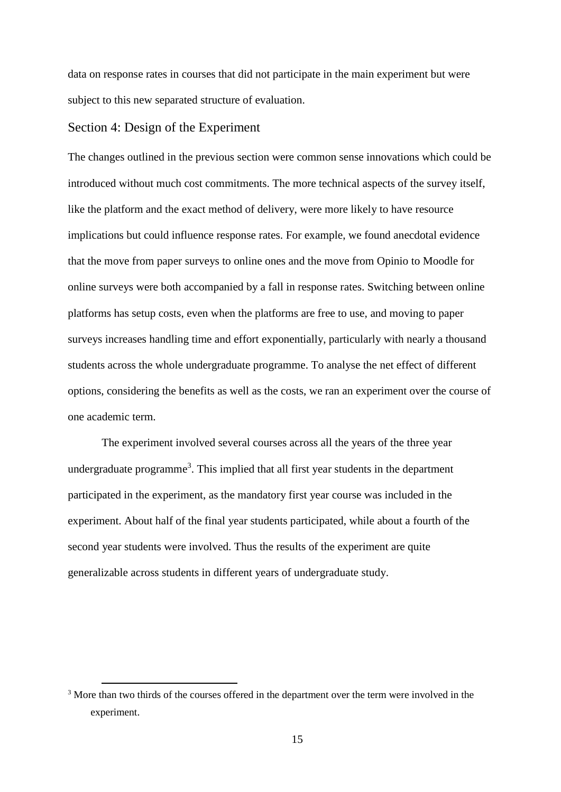data on response rates in courses that did not participate in the main experiment but were subject to this new separated structure of evaluation.

## <span id="page-14-0"></span>Section 4: Design of the Experiment

1

The changes outlined in the previous section were common sense innovations which could be introduced without much cost commitments. The more technical aspects of the survey itself, like the platform and the exact method of delivery, were more likely to have resource implications but could influence response rates. For example, we found anecdotal evidence that the move from paper surveys to online ones and the move from Opinio to Moodle for online surveys were both accompanied by a fall in response rates. Switching between online platforms has setup costs, even when the platforms are free to use, and moving to paper surveys increases handling time and effort exponentially, particularly with nearly a thousand students across the whole undergraduate programme. To analyse the net effect of different options, considering the benefits as well as the costs, we ran an experiment over the course of one academic term.

The experiment involved several courses across all the years of the three year undergraduate programme<sup>3</sup>. This implied that all first year students in the department participated in the experiment, as the mandatory first year course was included in the experiment. About half of the final year students participated, while about a fourth of the second year students were involved. Thus the results of the experiment are quite generalizable across students in different years of undergraduate study.

<sup>&</sup>lt;sup>3</sup> More than two thirds of the courses offered in the department over the term were involved in the experiment.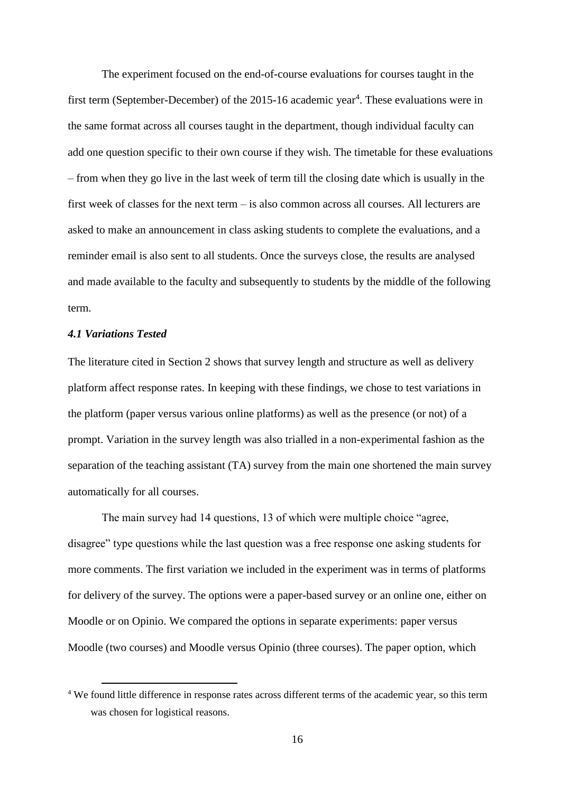The experiment focused on the end-of-course evaluations for courses taught in the first term (September-December) of the 2015-16 academic year<sup>4</sup>. These evaluations were in the same format across all courses taught in the department, though individual faculty can add one question specific to their own course if they wish. The timetable for these evaluations – from when they go live in the last week of term till the closing date which is usually in the first week of classes for the next term – is also common across all courses. All lecturers are asked to make an announcement in class asking students to complete the evaluations, and a reminder email is also sent to all students. Once the surveys close, the results are analysed and made available to the faculty and subsequently to students by the middle of the following term.

## <span id="page-15-0"></span>*4.1 Variations Tested*

1

The literature cited in Section 2 shows that survey length and structure as well as delivery platform affect response rates. In keeping with these findings, we chose to test variations in the platform (paper versus various online platforms) as well as the presence (or not) of a prompt. Variation in the survey length was also trialled in a non-experimental fashion as the separation of the teaching assistant (TA) survey from the main one shortened the main survey automatically for all courses.

The main survey had 14 questions, 13 of which were multiple choice "agree, disagree" type questions while the last question was a free response one asking students for more comments. The first variation we included in the experiment was in terms of platforms for delivery of the survey. The options were a paper-based survey or an online one, either on Moodle or on Opinio. We compared the options in separate experiments: paper versus Moodle (two courses) and Moodle versus Opinio (three courses). The paper option, which

<sup>4</sup> We found little difference in response rates across different terms of the academic year, so this term was chosen for logistical reasons.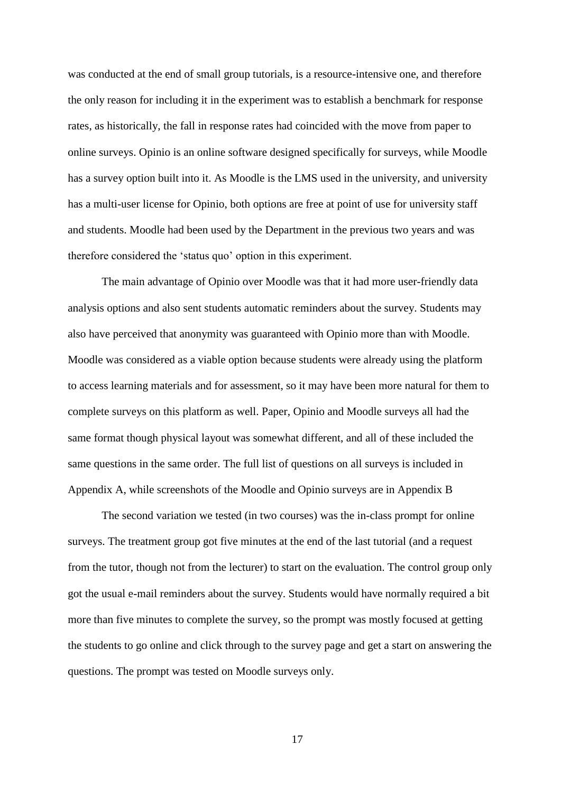was conducted at the end of small group tutorials, is a resource-intensive one, and therefore the only reason for including it in the experiment was to establish a benchmark for response rates, as historically, the fall in response rates had coincided with the move from paper to online surveys. Opinio is an online software designed specifically for surveys, while Moodle has a survey option built into it. As Moodle is the LMS used in the university, and university has a multi-user license for Opinio, both options are free at point of use for university staff and students. Moodle had been used by the Department in the previous two years and was therefore considered the 'status quo' option in this experiment.

The main advantage of Opinio over Moodle was that it had more user-friendly data analysis options and also sent students automatic reminders about the survey. Students may also have perceived that anonymity was guaranteed with Opinio more than with Moodle. Moodle was considered as a viable option because students were already using the platform to access learning materials and for assessment, so it may have been more natural for them to complete surveys on this platform as well. Paper, Opinio and Moodle surveys all had the same format though physical layout was somewhat different, and all of these included the same questions in the same order. The full list of questions on all surveys is included in Appendix A, while screenshots of the Moodle and Opinio surveys are in Appendix B

The second variation we tested (in two courses) was the in-class prompt for online surveys. The treatment group got five minutes at the end of the last tutorial (and a request from the tutor, though not from the lecturer) to start on the evaluation. The control group only got the usual e-mail reminders about the survey. Students would have normally required a bit more than five minutes to complete the survey, so the prompt was mostly focused at getting the students to go online and click through to the survey page and get a start on answering the questions. The prompt was tested on Moodle surveys only.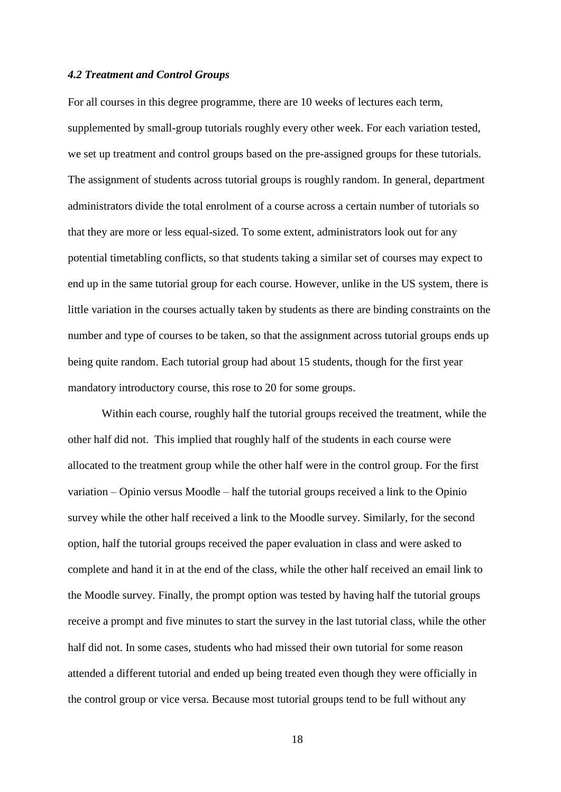#### <span id="page-17-0"></span>*4.2 Treatment and Control Groups*

For all courses in this degree programme, there are 10 weeks of lectures each term, supplemented by small-group tutorials roughly every other week. For each variation tested, we set up treatment and control groups based on the pre-assigned groups for these tutorials. The assignment of students across tutorial groups is roughly random. In general, department administrators divide the total enrolment of a course across a certain number of tutorials so that they are more or less equal-sized. To some extent, administrators look out for any potential timetabling conflicts, so that students taking a similar set of courses may expect to end up in the same tutorial group for each course. However, unlike in the US system, there is little variation in the courses actually taken by students as there are binding constraints on the number and type of courses to be taken, so that the assignment across tutorial groups ends up being quite random. Each tutorial group had about 15 students, though for the first year mandatory introductory course, this rose to 20 for some groups.

Within each course, roughly half the tutorial groups received the treatment, while the other half did not. This implied that roughly half of the students in each course were allocated to the treatment group while the other half were in the control group. For the first variation – Opinio versus Moodle – half the tutorial groups received a link to the Opinio survey while the other half received a link to the Moodle survey. Similarly, for the second option, half the tutorial groups received the paper evaluation in class and were asked to complete and hand it in at the end of the class, while the other half received an email link to the Moodle survey. Finally, the prompt option was tested by having half the tutorial groups receive a prompt and five minutes to start the survey in the last tutorial class, while the other half did not. In some cases, students who had missed their own tutorial for some reason attended a different tutorial and ended up being treated even though they were officially in the control group or vice versa. Because most tutorial groups tend to be full without any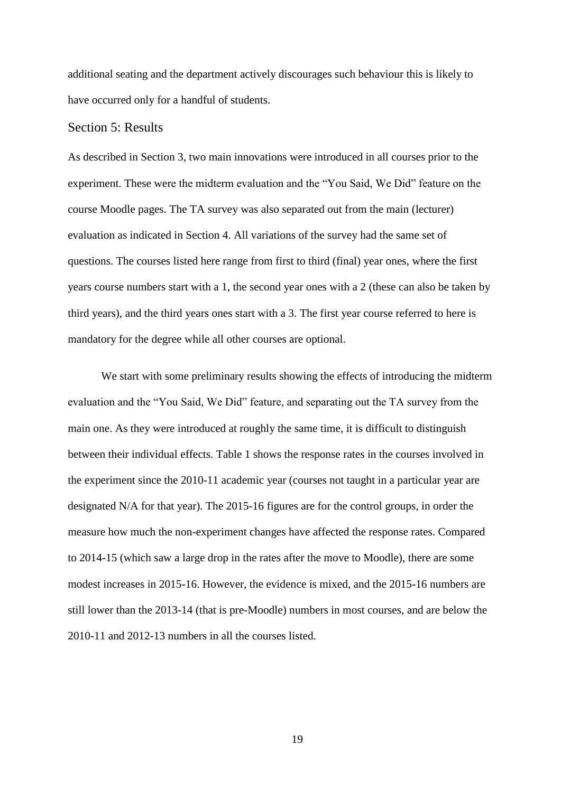additional seating and the department actively discourages such behaviour this is likely to have occurred only for a handful of students.

#### <span id="page-18-0"></span>Section 5: Results

As described in Section 3, two main innovations were introduced in all courses prior to the experiment. These were the midterm evaluation and the "You Said, We Did" feature on the course Moodle pages. The TA survey was also separated out from the main (lecturer) evaluation as indicated in Section 4. All variations of the survey had the same set of questions. The courses listed here range from first to third (final) year ones, where the first years course numbers start with a 1, the second year ones with a 2 (these can also be taken by third years), and the third years ones start with a 3. The first year course referred to here is mandatory for the degree while all other courses are optional.

We start with some preliminary results showing the effects of introducing the midterm evaluation and the "You Said, We Did" feature, and separating out the TA survey from the main one. As they were introduced at roughly the same time, it is difficult to distinguish between their individual effects. Table 1 shows the response rates in the courses involved in the experiment since the 2010-11 academic year (courses not taught in a particular year are designated N/A for that year). The 2015-16 figures are for the control groups, in order the measure how much the non-experiment changes have affected the response rates. Compared to 2014-15 (which saw a large drop in the rates after the move to Moodle), there are some modest increases in 2015-16. However, the evidence is mixed, and the 2015-16 numbers are still lower than the 2013-14 (that is pre-Moodle) numbers in most courses, and are below the 2010-11 and 2012-13 numbers in all the courses listed.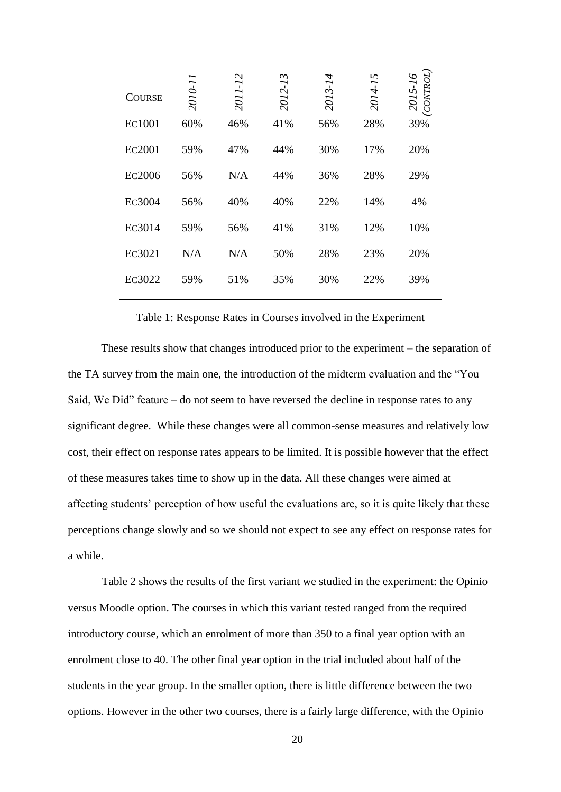| <b>COURSE</b> | 2010-1 | $-12$<br>2011 | $\sim$<br>2012-1 | 2013-14 | 5<br>2014-1 | CONTROL)<br>2015-16 |
|---------------|--------|---------------|------------------|---------|-------------|---------------------|
| EC1001        | 60%    | 46%           | 41%              | 56%     | 28%         | 39%                 |
| Ec2001        | 59%    | 47%           | 44%              | 30%     | 17%         | 20%                 |
| Ec2006        | 56%    | N/A           | 44%              | 36%     | 28%         | 29%                 |
| Ec3004        | 56%    | 40%           | 40%              | 22%     | 14%         | 4%                  |
| Ec3014        | 59%    | 56%           | 41%              | 31%     | 12%         | 10%                 |
| Ec3021        | N/A    | N/A           | 50%              | 28%     | 23%         | 20%                 |
| EC3022        | 59%    | 51%           | 35%              | 30%     | 22%         | 39%                 |

Table 1: Response Rates in Courses involved in the Experiment

These results show that changes introduced prior to the experiment – the separation of the TA survey from the main one, the introduction of the midterm evaluation and the "You Said, We Did" feature – do not seem to have reversed the decline in response rates to any significant degree. While these changes were all common-sense measures and relatively low cost, their effect on response rates appears to be limited. It is possible however that the effect of these measures takes time to show up in the data. All these changes were aimed at affecting students' perception of how useful the evaluations are, so it is quite likely that these perceptions change slowly and so we should not expect to see any effect on response rates for a while.

Table 2 shows the results of the first variant we studied in the experiment: the Opinio versus Moodle option. The courses in which this variant tested ranged from the required introductory course, which an enrolment of more than 350 to a final year option with an enrolment close to 40. The other final year option in the trial included about half of the students in the year group. In the smaller option, there is little difference between the two options. However in the other two courses, there is a fairly large difference, with the Opinio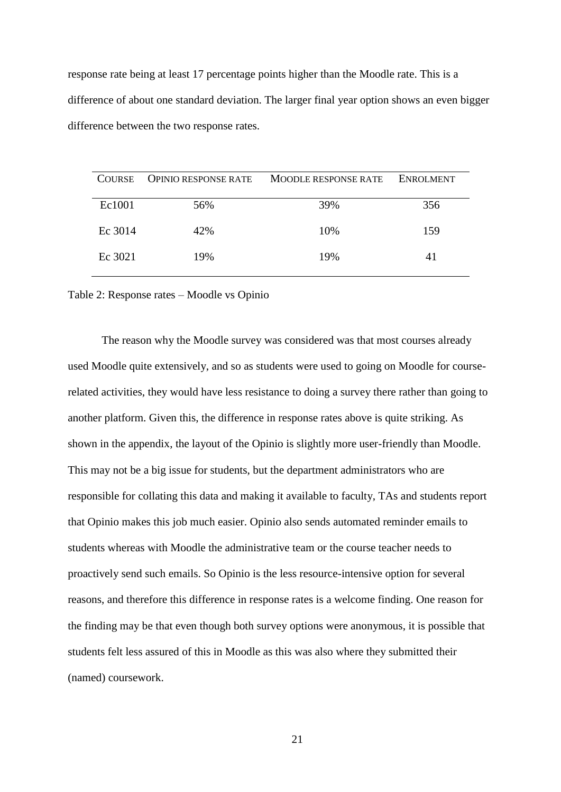response rate being at least 17 percentage points higher than the Moodle rate. This is a difference of about one standard deviation. The larger final year option shows an even bigger difference between the two response rates.

| <b>COURSE</b> | <b>OPINIO RESPONSE RATE</b> | <b>MOODLE RESPONSE RATE</b> | <b>ENROLMENT</b> |
|---------------|-----------------------------|-----------------------------|------------------|
| Ec1001        | 56%                         | 39%                         | 356              |
| Ec 3014       | 42%                         | 10%                         | 159              |
| Ec 3021       | 19%                         | 19%                         | 41               |

Table 2: Response rates – Moodle vs Opinio

The reason why the Moodle survey was considered was that most courses already used Moodle quite extensively, and so as students were used to going on Moodle for courserelated activities, they would have less resistance to doing a survey there rather than going to another platform. Given this, the difference in response rates above is quite striking. As shown in the appendix, the layout of the Opinio is slightly more user-friendly than Moodle. This may not be a big issue for students, but the department administrators who are responsible for collating this data and making it available to faculty, TAs and students report that Opinio makes this job much easier. Opinio also sends automated reminder emails to students whereas with Moodle the administrative team or the course teacher needs to proactively send such emails. So Opinio is the less resource-intensive option for several reasons, and therefore this difference in response rates is a welcome finding. One reason for the finding may be that even though both survey options were anonymous, it is possible that students felt less assured of this in Moodle as this was also where they submitted their (named) coursework.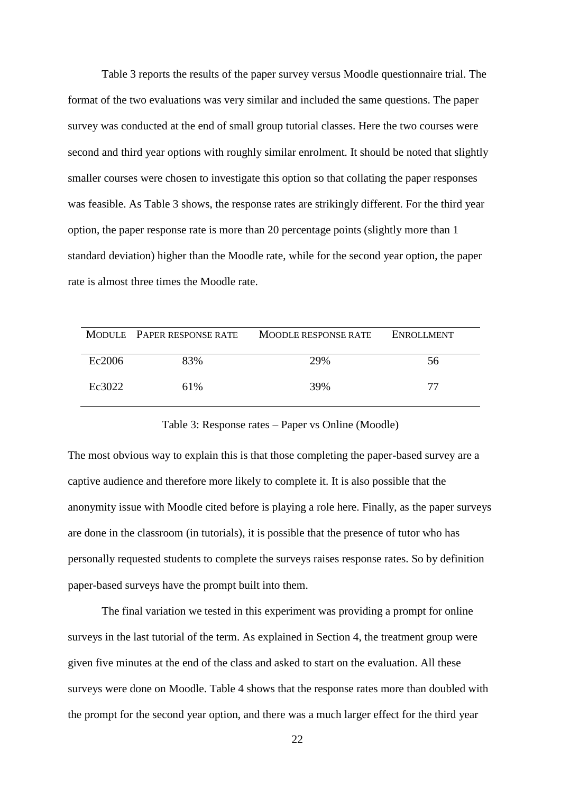Table 3 reports the results of the paper survey versus Moodle questionnaire trial. The format of the two evaluations was very similar and included the same questions. The paper survey was conducted at the end of small group tutorial classes. Here the two courses were second and third year options with roughly similar enrolment. It should be noted that slightly smaller courses were chosen to investigate this option so that collating the paper responses was feasible. As Table 3 shows, the response rates are strikingly different. For the third year option, the paper response rate is more than 20 percentage points (slightly more than 1 standard deviation) higher than the Moodle rate, while for the second year option, the paper rate is almost three times the Moodle rate.

|        | MODULE PAPER RESPONSE RATE | <b>MOODLE RESPONSE RATE</b> | <b>ENROLLMENT</b> |
|--------|----------------------------|-----------------------------|-------------------|
| Ec2006 | 83%                        | 29%                         | 56                |
| Ec3022 | 61%                        | 39%                         | 77                |

#### Table 3: Response rates – Paper vs Online (Moodle)

The most obvious way to explain this is that those completing the paper-based survey are a captive audience and therefore more likely to complete it. It is also possible that the anonymity issue with Moodle cited before is playing a role here. Finally, as the paper surveys are done in the classroom (in tutorials), it is possible that the presence of tutor who has personally requested students to complete the surveys raises response rates. So by definition paper-based surveys have the prompt built into them.

The final variation we tested in this experiment was providing a prompt for online surveys in the last tutorial of the term. As explained in Section 4, the treatment group were given five minutes at the end of the class and asked to start on the evaluation. All these surveys were done on Moodle. Table 4 shows that the response rates more than doubled with the prompt for the second year option, and there was a much larger effect for the third year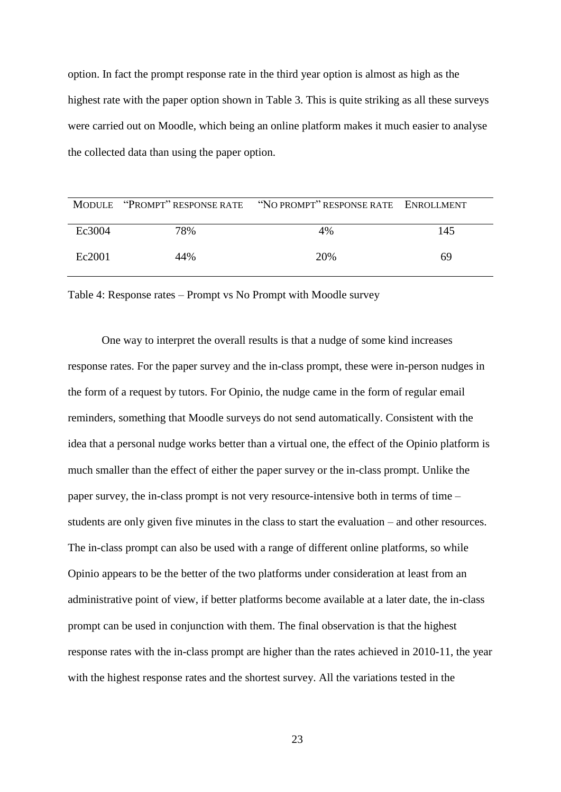option. In fact the prompt response rate in the third year option is almost as high as the highest rate with the paper option shown in Table 3. This is quite striking as all these surveys were carried out on Moodle, which being an online platform makes it much easier to analyse the collected data than using the paper option.

|        |     | MODULE "PROMPT" RESPONSE RATE "NO PROMPT" RESPONSE RATE ENROLLMENT |     |
|--------|-----|--------------------------------------------------------------------|-----|
| Ec3004 | 78% | 4%                                                                 | 145 |
| Ec2001 | 44% | 20%                                                                | 69  |

Table 4: Response rates – Prompt vs No Prompt with Moodle survey

One way to interpret the overall results is that a nudge of some kind increases response rates. For the paper survey and the in-class prompt, these were in-person nudges in the form of a request by tutors. For Opinio, the nudge came in the form of regular email reminders, something that Moodle surveys do not send automatically. Consistent with the idea that a personal nudge works better than a virtual one, the effect of the Opinio platform is much smaller than the effect of either the paper survey or the in-class prompt. Unlike the paper survey, the in-class prompt is not very resource-intensive both in terms of time – students are only given five minutes in the class to start the evaluation – and other resources. The in-class prompt can also be used with a range of different online platforms, so while Opinio appears to be the better of the two platforms under consideration at least from an administrative point of view, if better platforms become available at a later date, the in-class prompt can be used in conjunction with them. The final observation is that the highest response rates with the in-class prompt are higher than the rates achieved in 2010-11, the year with the highest response rates and the shortest survey. All the variations tested in the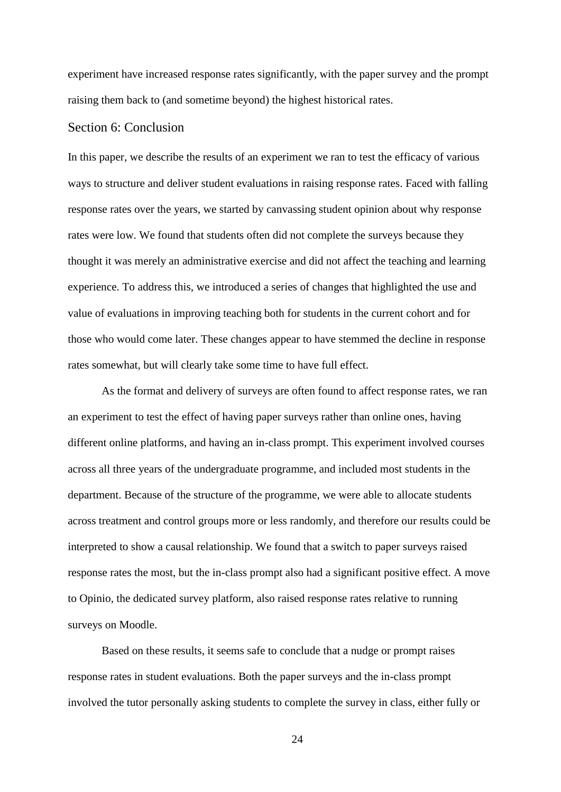experiment have increased response rates significantly, with the paper survey and the prompt raising them back to (and sometime beyond) the highest historical rates.

#### <span id="page-23-0"></span>Section 6: Conclusion

In this paper, we describe the results of an experiment we ran to test the efficacy of various ways to structure and deliver student evaluations in raising response rates. Faced with falling response rates over the years, we started by canvassing student opinion about why response rates were low. We found that students often did not complete the surveys because they thought it was merely an administrative exercise and did not affect the teaching and learning experience. To address this, we introduced a series of changes that highlighted the use and value of evaluations in improving teaching both for students in the current cohort and for those who would come later. These changes appear to have stemmed the decline in response rates somewhat, but will clearly take some time to have full effect.

As the format and delivery of surveys are often found to affect response rates, we ran an experiment to test the effect of having paper surveys rather than online ones, having different online platforms, and having an in-class prompt. This experiment involved courses across all three years of the undergraduate programme, and included most students in the department. Because of the structure of the programme, we were able to allocate students across treatment and control groups more or less randomly, and therefore our results could be interpreted to show a causal relationship. We found that a switch to paper surveys raised response rates the most, but the in-class prompt also had a significant positive effect. A move to Opinio, the dedicated survey platform, also raised response rates relative to running surveys on Moodle.

Based on these results, it seems safe to conclude that a nudge or prompt raises response rates in student evaluations. Both the paper surveys and the in-class prompt involved the tutor personally asking students to complete the survey in class, either fully or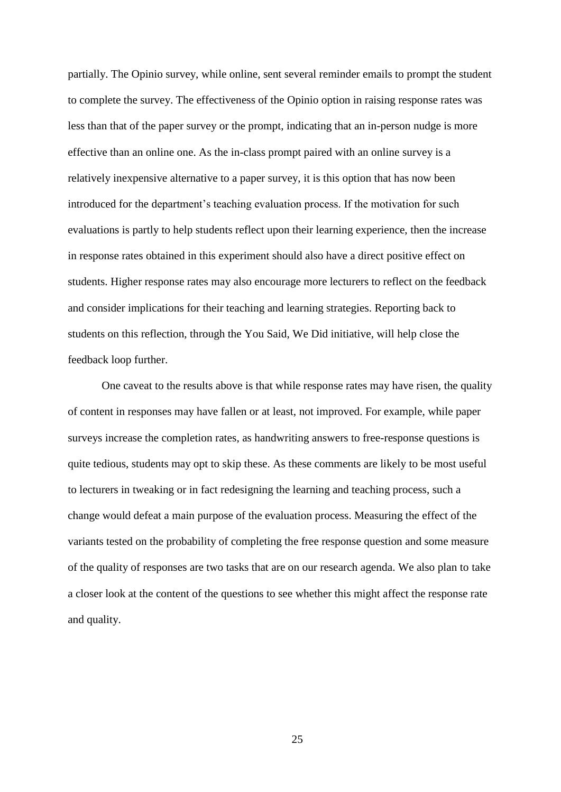partially. The Opinio survey, while online, sent several reminder emails to prompt the student to complete the survey. The effectiveness of the Opinio option in raising response rates was less than that of the paper survey or the prompt, indicating that an in-person nudge is more effective than an online one. As the in-class prompt paired with an online survey is a relatively inexpensive alternative to a paper survey, it is this option that has now been introduced for the department's teaching evaluation process. If the motivation for such evaluations is partly to help students reflect upon their learning experience, then the increase in response rates obtained in this experiment should also have a direct positive effect on students. Higher response rates may also encourage more lecturers to reflect on the feedback and consider implications for their teaching and learning strategies. Reporting back to students on this reflection, through the You Said, We Did initiative, will help close the feedback loop further.

One caveat to the results above is that while response rates may have risen, the quality of content in responses may have fallen or at least, not improved. For example, while paper surveys increase the completion rates, as handwriting answers to free-response questions is quite tedious, students may opt to skip these. As these comments are likely to be most useful to lecturers in tweaking or in fact redesigning the learning and teaching process, such a change would defeat a main purpose of the evaluation process. Measuring the effect of the variants tested on the probability of completing the free response question and some measure of the quality of responses are two tasks that are on our research agenda. We also plan to take a closer look at the content of the questions to see whether this might affect the response rate and quality.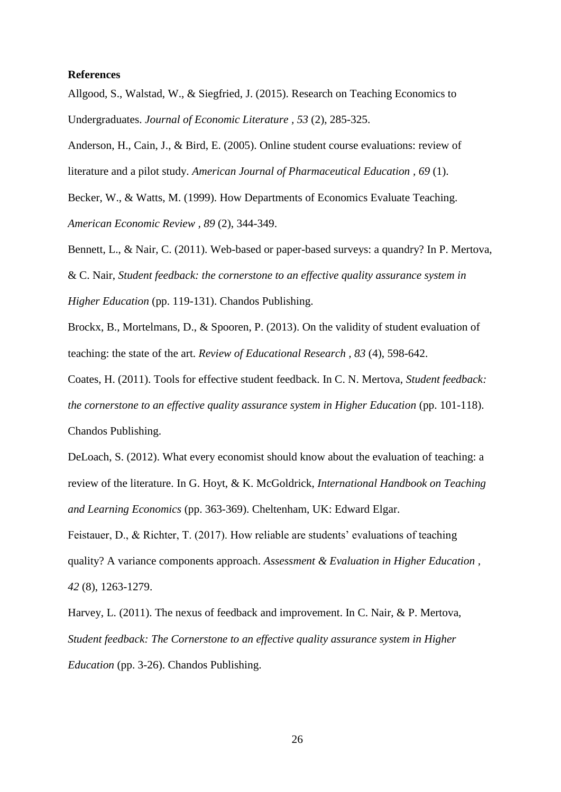#### **References**

Allgood, S., Walstad, W., & Siegfried, J. (2015). Research on Teaching Economics to Undergraduates. *Journal of Economic Literature , 53* (2), 285-325.

Anderson, H., Cain, J., & Bird, E. (2005). Online student course evaluations: review of literature and a pilot study. *American Journal of Pharmaceutical Education , 69* (1).

Becker, W., & Watts, M. (1999). How Departments of Economics Evaluate Teaching. *American Economic Review , 89* (2), 344-349.

Bennett, L., & Nair, C. (2011). Web-based or paper-based surveys: a quandry? In P. Mertova, & C. Nair, *Student feedback: the cornerstone to an effective quality assurance system in Higher Education* (pp. 119-131). Chandos Publishing.

Brockx, B., Mortelmans, D., & Spooren, P. (2013). On the validity of student evaluation of teaching: the state of the art. *Review of Educational Research , 83* (4), 598-642.

Coates, H. (2011). Tools for effective student feedback. In C. N. Mertova, *Student feedback: the cornerstone to an effective quality assurance system in Higher Education* (pp. 101-118). Chandos Publishing.

DeLoach, S. (2012). What every economist should know about the evaluation of teaching: a review of the literature. In G. Hoyt, & K. McGoldrick, *International Handbook on Teaching and Learning Economics* (pp. 363-369). Cheltenham, UK: Edward Elgar.

Feistauer, D., & Richter, T. (2017). How reliable are students' evaluations of teaching quality? A variance components approach. *Assessment & Evaluation in Higher Education , 42* (8), 1263-1279.

Harvey, L. (2011). The nexus of feedback and improvement. In C. Nair, & P. Mertova, *Student feedback: The Cornerstone to an effective quality assurance system in Higher Education* (pp. 3-26). Chandos Publishing.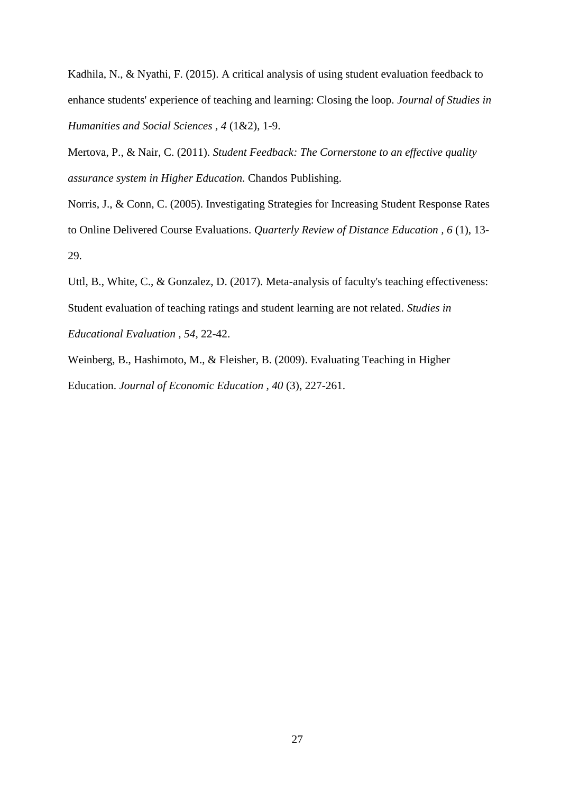Kadhila, N., & Nyathi, F. (2015). A critical analysis of using student evaluation feedback to enhance students' experience of teaching and learning: Closing the loop. *Journal of Studies in Humanities and Social Sciences , 4* (1&2), 1-9.

Mertova, P., & Nair, C. (2011). *Student Feedback: The Cornerstone to an effective quality assurance system in Higher Education.* Chandos Publishing.

Norris, J., & Conn, C. (2005). Investigating Strategies for Increasing Student Response Rates to Online Delivered Course Evaluations. *Quarterly Review of Distance Education , 6* (1), 13- 29.

Uttl, B., White, C., & Gonzalez, D. (2017). Meta-analysis of faculty's teaching effectiveness: Student evaluation of teaching ratings and student learning are not related. *Studies in Educational Evaluation , 54*, 22-42.

Weinberg, B., Hashimoto, M., & Fleisher, B. (2009). Evaluating Teaching in Higher Education. *Journal of Economic Education , 40* (3), 227-261.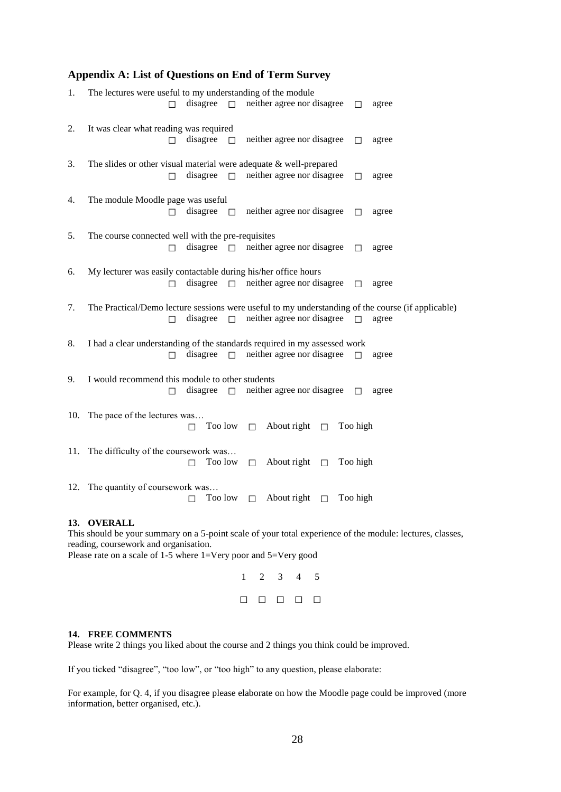### <span id="page-27-0"></span>**Appendix A: List of Questions on End of Term Survey**

| 1. | The lectures were useful to my understanding of the module                                        |
|----|---------------------------------------------------------------------------------------------------|
|    | disagree $\Box$ neither agree nor disagree $\Box$<br>agree                                        |
| 2. | It was clear what reading was required                                                            |
|    | disagree<br>neither agree nor disagree<br>$\Box$<br>$\Box$<br>agree                               |
| 3. | The slides or other visual material were adequate $&$ well-prepared                               |
|    | disagree $\Box$ neither agree nor disagree<br>agree<br>п<br>П                                     |
| 4. | The module Moodle page was useful                                                                 |
|    | disagree<br>neither agree nor disagree<br>$\Box$<br>$\Box$<br>agree                               |
| 5. | The course connected well with the pre-requisites                                                 |
|    | disagree $\Box$<br>neither agree nor disagree<br>п<br>$\Box$<br>agree                             |
| 6. | My lecturer was easily contactable during his/her office hours                                    |
|    | $\Box$<br>neither agree nor disagree<br>disagree<br>$\Box$<br>agree<br>П                          |
| 7. | The Practical/Demo lecture sessions were useful to my understanding of the course (if applicable) |
|    | neither agree nor disagree $\Box$<br>$\Box$<br>disagree<br>agree<br>$\Box$                        |
| 8. | I had a clear understanding of the standards required in my assessed work                         |
|    | $\Box$<br>neither agree nor disagree<br>disagree<br>$\Box$<br>$\Box$<br>agree                     |
| 9. | I would recommend this module to other students                                                   |
|    | neither agree nor disagree<br>disagree<br>$\Box$<br>$\Box$<br>agree<br>$\Box$                     |
|    | 10. The pace of the lectures was                                                                  |
|    | Too low $\square$<br>About right $\Box$<br>Too high<br>П                                          |
|    | 11. The difficulty of the coursework was                                                          |
|    | Too low $\Box$ About right $\Box$<br>Too high<br>П                                                |
|    | 12. The quantity of coursework was                                                                |
|    | About right $\Box$<br>Too high<br>Too low $\Box$<br>П                                             |
|    | 13. OVERALL                                                                                       |

This should be your summary on a 5-point scale of your total experience of the module: lectures, classes, reading, coursework and organisation. Please rate on a scale of 1-5 where 1=Very poor and 5=Very good

> 1 2 3 4 5 ☐ ☐ ☐ ☐ ☐

#### **14. FREE COMMENTS**

Please write 2 things you liked about the course and 2 things you think could be improved.

If you ticked "disagree", "too low", or "too high" to any question, please elaborate:

For example, for Q. 4, if you disagree please elaborate on how the Moodle page could be improved (more information, better organised, etc.).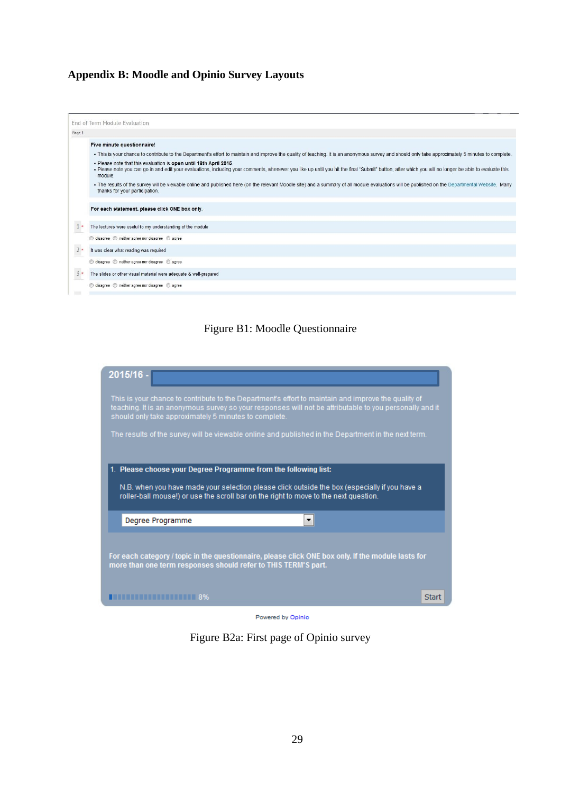# <span id="page-28-0"></span>**Appendix B: Moodle and Opinio Survey Layouts**



## Figure B1: Moodle Questionnaire



Powered by Opinio

Figure B2a: First page of Opinio survey